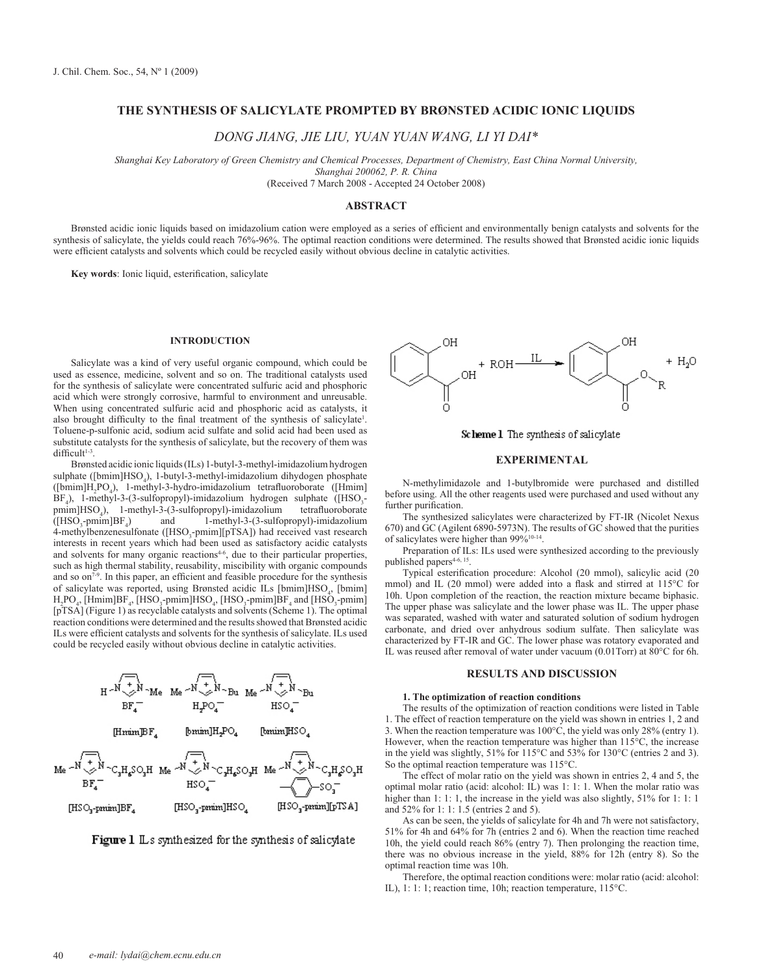# **The Synthesis of Salicylate Prompted by Brønsted Acidic Ionic Liquids**

*Dong Jiang, Jie Liu, Yuan Yuan Wang, Li Yi Dai\**

*Shanghai Key Laboratory of Green Chemistry and Chemical Processes, Department of Chemistry, East China Normal University, Shanghai 200062, P. R. China*

(Received 7 March 2008 - Accepted 24 October 2008)

## **Abstract**

Brønsted acidic ionic liquids based on imidazolium cation were employed as a series of efficient and environmentally benign catalysts and solvents for the synthesis of salicylate, the yields could reach 76%-96%. The optimal reaction conditions were determined. The results showed that Brønsted acidic ionic liquids were efficient catalysts and solvents which could be recycled easily without obvious decline in catalytic activities.

**Key words**: Ionic liquid, esterification, salicylate

### **Introduction**

Salicylate was a kind of very useful organic compound, which could be used as essence, medicine, solvent and so on. The traditional catalysts used for the synthesis of salicylate were concentrated sulfuric acid and phosphoric acid which were strongly corrosive, harmful to environment and unreusable. When using concentrated sulfuric acid and phosphoric acid as catalysts, it also brought difficulty to the final treatment of the synthesis of salicylate<sup>1</sup>. Toluene-p-sulfonic acid, sodium acid sulfate and solid acid had been used as substitute catalysts for the synthesis of salicylate, but the recovery of them was  $difficult<sup>1-3</sup>$ .

Brønsted acidic ionic liquids (ILs) 1-butyl-3-methyl-imidazolium hydrogen sulphate ([bmim]HSO<sub>4</sub>), 1-butyl-3-methyl-imidazolium dihydogen phosphate ([bmim]H<sub>2</sub>PO<sub>4</sub>), 1-methyl-3-hydro-imidazolium tetrafluoroborate ([Hmim]  $BF_4$ ), 1-methyl-3-(3-sulfopropyl)-imidazolium hydrogen sulphate ([HSO<sub>3</sub>pmim]HSO<sub>4</sub>), 1-methyl-3-(3-sulfopropyl)-imidazolium tetrafluoroborate  $([HSO<sub>3</sub>-pmin]BF<sub>4</sub>$ ) and 1-methyl-3-(3-sulfopropyl)-imidazolium 4-methylbenzenesulfonate ([HSO<sub>3</sub>-pmim][pTSA]) had received vast research interests in recent years which had been used as satisfactory acidic catalysts and solvents for many organic reactions<sup>4-6</sup>, due to their particular properties, such as high thermal stability, reusability, miscibility with organic compounds and so  $on<sup>7-9</sup>$ . In this paper, an efficient and feasible procedure for the synthesis of salicylate was reported, using Brønsted acidic ILs [bmim]HSO<sub>4</sub>, [bmim]  $H_2PO_4$ , [Hmim]BF<sub>4</sub>, [HSO<sub>3</sub>-pmim]HSO<sub>4</sub>, [HSO<sub>3</sub>-pmim]BF<sub>4</sub> and [HSO<sub>3</sub>-pmim] [pTSA] (Figure 1) as recyclable catalysts and solvents (Scheme 1). The optimal reaction conditions were determined and the results showed that Brønsted acidic ILs were efficient catalysts and solvents for the synthesis of salicylate. ILs used could be recycled easily without obvious decline in catalytic activities.







Scheme 1 The synthesis of salicylate

### **Experimental**

N-methylimidazole and 1-butylbromide were purchased and distilled before using. All the other reagents used were purchased and used without any further purification.

The synthesized salicylates were characterized by FT-IR (Nicolet Nexus 670) and GC (Agilent 6890-5973N). The results of GC showed that the purities of salicylates were higher than 99%10-14.

Preparation of ILs: ILs used were synthesized according to the previously published papers<sup>4-6, 15</sup>.

Typical esterification procedure: Alcohol (20 mmol), salicylic acid (20 mmol) and IL (20 mmol) were added into a flask and stirred at 115°C for 10h. Upon completion of the reaction, the reaction mixture became biphasic. The upper phase was salicylate and the lower phase was IL. The upper phase was separated, washed with water and saturated solution of sodium hydrogen carbonate, and dried over anhydrous sodium sulfate. Then salicylate was characterized by FT-IR and GC. The lower phase was rotatory evaporated and IL was reused after removal of water under vacuum (0.01Torr) at 80°C for 6h.

## **Results and Discussion**

#### **1. The optimization of reaction conditions**

The results of the optimization of reaction conditions were listed in Table 1. The effect of reaction temperature on the yield was shown in entries 1, 2 and 3. When the reaction temperature was 100°C, the yield was only 28% (entry 1). However, when the reaction temperature was higher than 115°C, the increase in the yield was slightly, 51% for 115°C and 53% for 130°C (entries 2 and 3). So the optimal reaction temperature was 115°C.

The effect of molar ratio on the yield was shown in entries 2, 4 and 5, the optimal molar ratio (acid: alcohol: IL) was 1: 1: 1. When the molar ratio was higher than 1: 1: 1, the increase in the yield was also slightly, 51% for 1: 1: 1 and 52% for 1: 1: 1.5 (entries 2 and 5).

As can be seen, the yields of salicylate for 4h and 7h were not satisfactory, 51% for 4h and 64% for 7h (entries 2 and 6). When the reaction time reached 10h, the yield could reach 86% (entry 7). Then prolonging the reaction time, there was no obvious increase in the yield, 88% for 12h (entry 8). So the optimal reaction time was 10h.

Therefore, the optimal reaction conditions were: molar ratio (acid: alcohol: IL), 1: 1: 1; reaction time, 10h; reaction temperature, 115°C.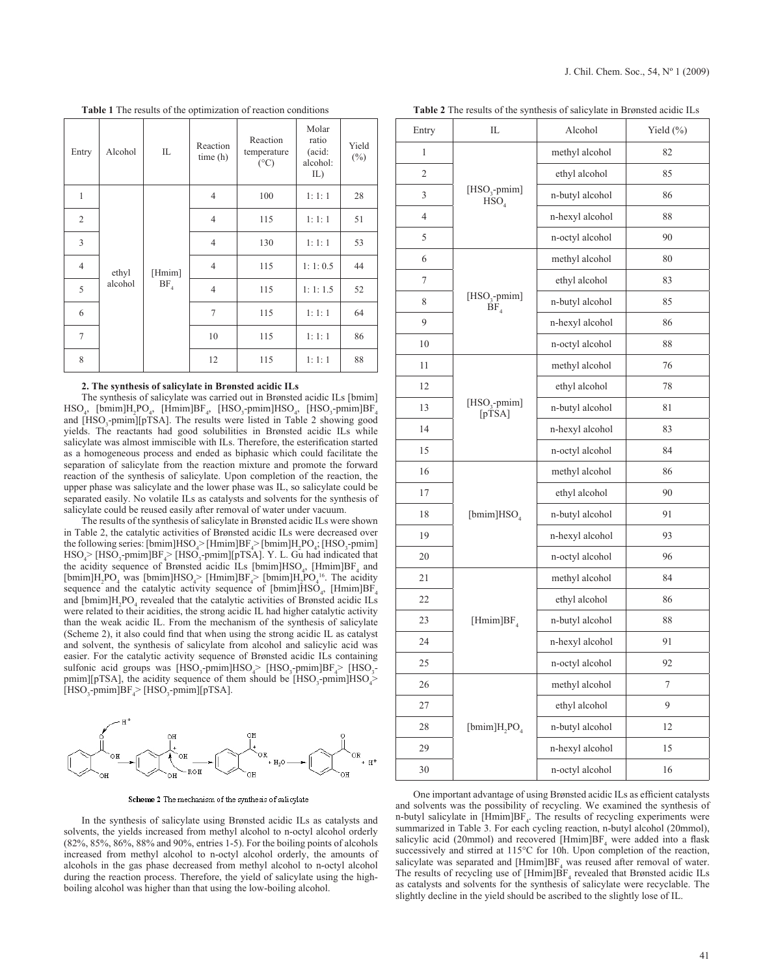| Entry          | Alcohol          | IL                      | Reaction<br>time(h) | Reaction<br>temperature<br>$({}^{\circ}C)$ | Molar<br>ratio<br>(acid:<br>alcohol:<br>IL) | Yield<br>$(\%)$ |
|----------------|------------------|-------------------------|---------------------|--------------------------------------------|---------------------------------------------|-----------------|
| $\mathbf{1}$   | ethyl<br>alcohol | [Hmim]<br>$\rm BF_{_4}$ | $\overline{4}$      | 100                                        | 1:1:1                                       | 28              |
| $\overline{2}$ |                  |                         | $\overline{4}$      | 115                                        | 1:1:1                                       | 51              |
| $\overline{3}$ |                  |                         | $\overline{4}$      | 130                                        | 1:1:1                                       | 53              |
| $\overline{4}$ |                  |                         | $\overline{4}$      | 115                                        | 1:1:0.5                                     | 44              |
| 5              |                  |                         | $\overline{4}$      | 115                                        | 1:1:1.5                                     | 52              |
| 6              |                  |                         | $\overline{7}$      | 115                                        | 1:1:1                                       | 64              |
| $\overline{7}$ |                  |                         | 10                  | 115                                        | 1:1:1                                       | 86              |
| 8              |                  |                         | 12                  | 115                                        | 1:1:1                                       | 88              |

### **2. The synthesis of salicylate in Brønsted acidic ILs**

The synthesis of salicylate was carried out in Brønsted acidic ILs [bmim]  $\text{HSO}_4$ , [bmim]H<sub>2</sub>PO<sub>4</sub>, [Hmim]BF<sub>4</sub>, [HSO<sub>3</sub>-pmim]HSO<sub>4</sub>, [HSO<sub>3</sub>-pmim]BF<sub>4</sub> and [HSO<sub>3</sub>-pmim][pTSA]. The results were listed in Table 2 showing good yields. The reactants had good solubilities in Brønsted acidic ILs while salicylate was almost immiscible with ILs. Therefore, the esterification started as a homogeneous process and ended as biphasic which could facilitate the separation of salicylate from the reaction mixture and promote the forward reaction of the synthesis of salicylate. Upon completion of the reaction, the upper phase was salicylate and the lower phase was IL, so salicylate could be separated easily. No volatile ILs as catalysts and solvents for the synthesis of salicylate could be reused easily after removal of water under vacuum.

The results of the synthesis of salicylate in Brønsted acidic ILs were shown in Table 2, the catalytic activities of Brønsted acidic ILs were decreased over the following series: [bmim]HSO<sub>4</sub>> [Hmim]BF<sub>4</sub>> [bmim]H<sub>2</sub>PO<sub>4</sub>, [HSO<sub>3</sub>-pmim]  $HSO_4$  [HSO<sub>3</sub>-pmim]BF<sub>4</sub> [HSO<sub>3</sub>-pmim][pTSA]. Y. L. Gu had indicated that the acidity sequence of Brønsted acidic ILs  $[\text{bmm}]$ HSO<sub>4</sub>,  $[\text{Hmm}]$ BF<sub>4</sub> and [bmim] $H_2PO_4$  was [bmim] $HSO_4$  [Hmim] $BF_4$  [bmim] $H_2PO_4^{16}$ . The acidity sequence and the catalytic activity sequence of  $[\text{bmin}]$ HSO<sub>4</sub>,  $[\text{Hmin}]$ BF<sub>4</sub> and  $[bmin]$ H<sub>2</sub>PO<sub>4</sub> revealed that the catalytic activities of Brønsted acidic ILs were related to their acidities, the strong acidic IL had higher catalytic activity than the weak acidic IL. From the mechanism of the synthesis of salicylate (Scheme 2), it also could find that when using the strong acidic IL as catalyst and solvent, the synthesis of salicylate from alcohol and salicylic acid was easier. For the catalytic activity sequence of Brønsted acidic ILs containing sulfonic acid groups was  $[{\rm HSO}_3$ -pmim] ${\rm HSO}_4$ >  $[{\rm HSO}_3$ -pmim] ${\rm BF}_4$ >  $[{\rm HSO}_3]$  $pmin$ [pTSA], the acidity sequence of them should be [HSO<sub>3</sub>-pmim]HSO<sub>4</sub>>  $[HSO_3$-pmin]BF_4$  >  $[HSO_3$-pmin] [pTSA]$ .



Scheme 2 The mechanism of the synthesis of salicylate

In the synthesis of salicylate using Brønsted acidic ILs as catalysts and solvents, the yields increased from methyl alcohol to n-octyl alcohol orderly (82%, 85%, 86%, 88% and 90%, entries 1-5). For the boiling points of alcohols increased from methyl alcohol to n-octyl alcohol orderly, the amounts of alcohols in the gas phase decreased from methyl alcohol to n-octyl alcohol during the reaction process. Therefore, the yield of salicylate using the highboiling alcohol was higher than that using the low-boiling alcohol.

**Table 2** The results of the synthesis of salicylate in Brønsted acidic ILs

| Entry          | IL                                             | Alcohol         | Yield $(\%)$ |  |
|----------------|------------------------------------------------|-----------------|--------------|--|
| 1              |                                                | methyl alcohol  | 82           |  |
| $\overline{c}$ |                                                | ethyl alcohol   | 85           |  |
| 3              | [HSO <sub>3</sub> -pmim]<br>$\overline{HSO}_4$ | n-butyl alcohol | 86           |  |
| 4              |                                                | n-hexyl alcohol | 88           |  |
| 5              |                                                | n-octyl alcohol | 90           |  |
| 6              |                                                | methyl alcohol  | 80           |  |
| 7              | [HSO <sub>3</sub> -pmim]<br>BF <sub>4</sub>    | ethyl alcohol   | 83           |  |
| 8              |                                                | n-butyl alcohol | 85           |  |
| 9              |                                                | n-hexyl alcohol | 86           |  |
| 10             |                                                | n-octyl alcohol | 88           |  |
| 11             | $[HSO_3$ -pmim]<br>[pTSA]                      | methyl alcohol  | 76           |  |
| 12             |                                                | ethyl alcohol   | 78           |  |
| 13             |                                                | n-butyl alcohol | 81           |  |
| 14             |                                                | n-hexyl alcohol | 83           |  |
| 15             |                                                | n-octyl alcohol | 84           |  |
| 16             |                                                | methyl alcohol  | 86           |  |
| 17             |                                                | ethyl alcohol   | 90           |  |
| 18             | [bmim] $HSO4$                                  | n-butyl alcohol | 91           |  |
| 19             |                                                | n-hexyl alcohol | 93           |  |
| 20             |                                                | n-octyl alcohol | 96           |  |
| 21             |                                                | methyl alcohol  | 84           |  |
| 22             |                                                | ethyl alcohol   | 86           |  |
| 23             | [Hmim]BF                                       | n-butyl alcohol | 88           |  |
| 24             |                                                | n-hexyl alcohol | 91           |  |
| 25             |                                                | n-octyl alcohol | 92           |  |
| 26             |                                                | methyl alcohol  | 7            |  |
| 27             |                                                | ethyl alcohol   | 9            |  |
| 28             | [bmim] $H_2$ PO <sub>4</sub>                   | n-butyl alcohol | 12           |  |
| 29             |                                                | n-hexyl alcohol | 15           |  |
| 30             |                                                | n-octyl alcohol | 16           |  |

One important advantage of using Brønsted acidic ILs as efficient catalysts and solvents was the possibility of recycling. We examined the synthesis of n-butyl salicylate in  $[{\rm Hmm}] {\rm BF}_4$ . The results of recycling experiments were summarized in Table 3. For each cycling reaction, n-butyl alcohol (20mmol), salicylic acid (20mmol) and recovered  $[Hmim]BF<sub>4</sub>$  were added into a flask successively and stirred at 115°C for 10h. Upon completion of the reaction, salicylate was separated and  $[Hmim]BF_4$  was reused after removal of water. The results of recycling use of  $[{\rm Hmin}] {\rm BF}_4$  revealed that Brønsted acidic ILs as catalysts and solvents for the synthesis of salicylate were recyclable. The slightly decline in the yield should be ascribed to the slightly lose of IL.